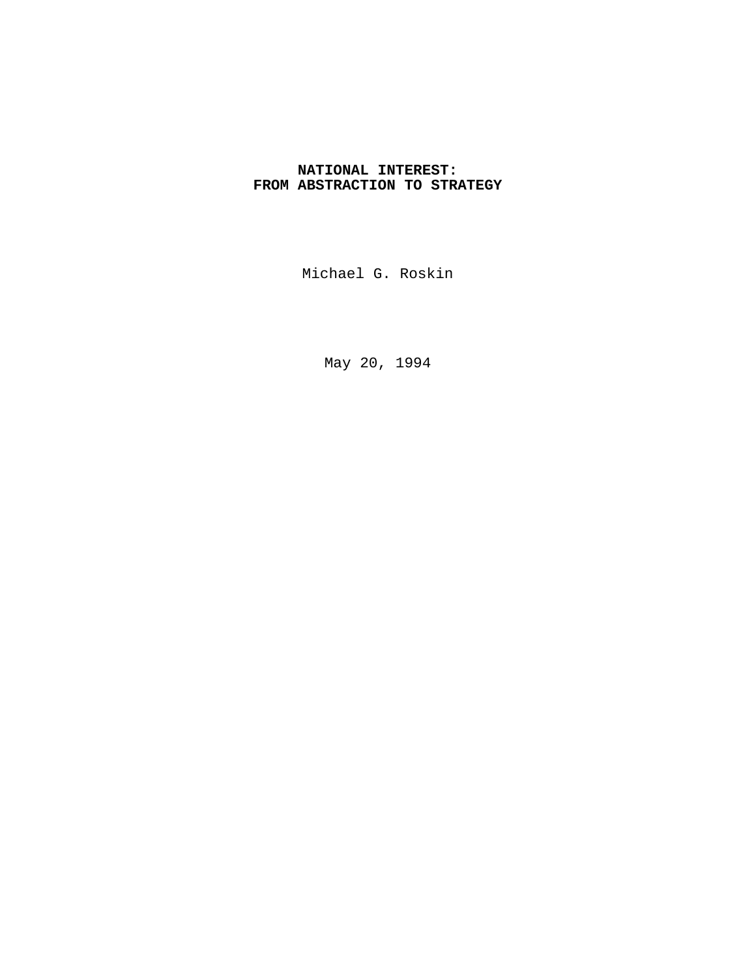# **NATIONAL INTEREST: FROM ABSTRACTION TO STRATEGY**

Michael G. Roskin

May 20, 1994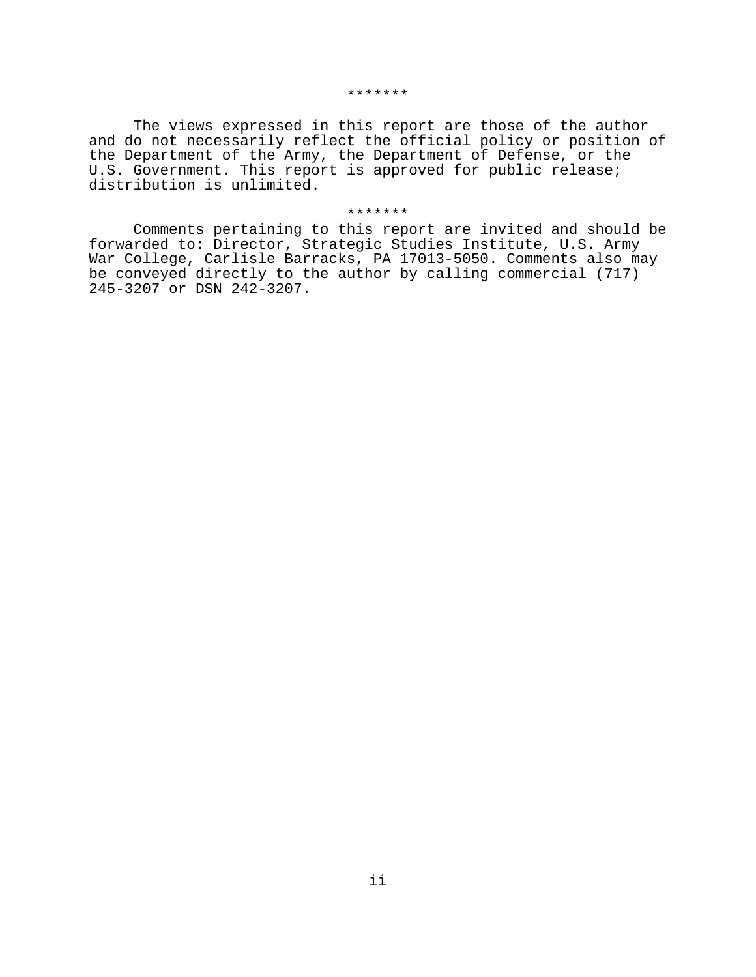#### \*\*\*\*\*\*\*

The views expressed in this report are those of the author and do not necessarily reflect the official policy or position of the Department of the Army, the Department of Defense, or the U.S. Government. This report is approved for public release; distribution is unlimited.

### \*\*\*\*\*\*\*

Comments pertaining to this report are invited and should be forwarded to: Director, Strategic Studies Institute, U.S. Army War College, Carlisle Barracks, PA 17013-5050. Comments also may be conveyed directly to the author by calling commercial (717) 245-3207 or DSN 242-3207.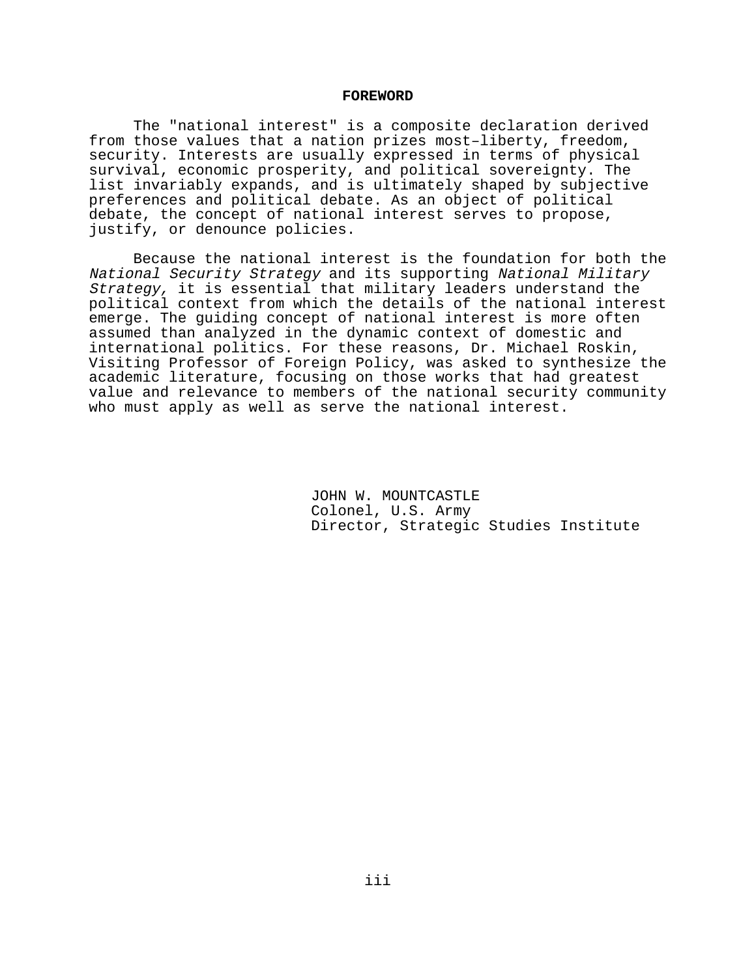#### **FOREWORD**

The "national interest" is a composite declaration derived from those values that a nation prizes most–liberty, freedom, security. Interests are usually expressed in terms of physical survival, economic prosperity, and political sovereignty. The list invariably expands, and is ultimately shaped by subjective preferences and political debate. As an object of political debate, the concept of national interest serves to propose, justify, or denounce policies.

Because the national interest is the foundation for both the National Security Strategy and its supporting National Military Strategy, it is essential that military leaders understand the political context from which the details of the national interest emerge. The guiding concept of national interest is more often assumed than analyzed in the dynamic context of domestic and international politics. For these reasons, Dr. Michael Roskin, Visiting Professor of Foreign Policy, was asked to synthesize the academic literature, focusing on those works that had greatest value and relevance to members of the national security community who must apply as well as serve the national interest.

> JOHN W. MOUNTCASTLE Colonel, U.S. Army Director, Strategic Studies Institute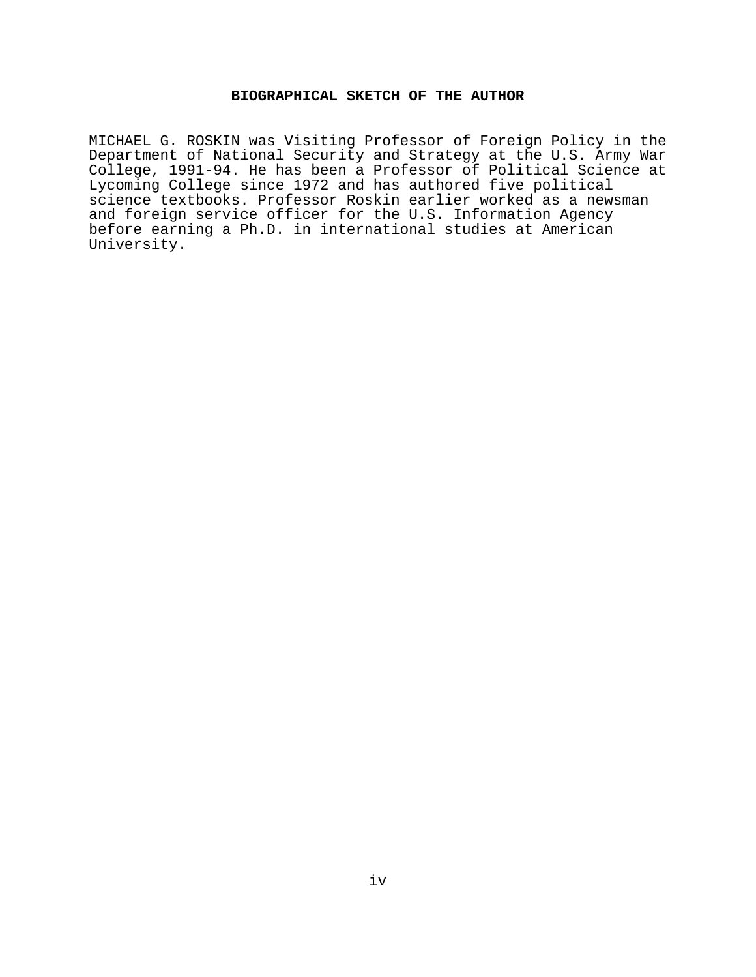# **BIOGRAPHICAL SKETCH OF THE AUTHOR**

MICHAEL G. ROSKIN was Visiting Professor of Foreign Policy in the Department of National Security and Strategy at the U.S. Army War College, 1991-94. He has been a Professor of Political Science at Lycoming College since 1972 and has authored five political science textbooks. Professor Roskin earlier worked as a newsman and foreign service officer for the U.S. Information Agency before earning a Ph.D. in international studies at American University.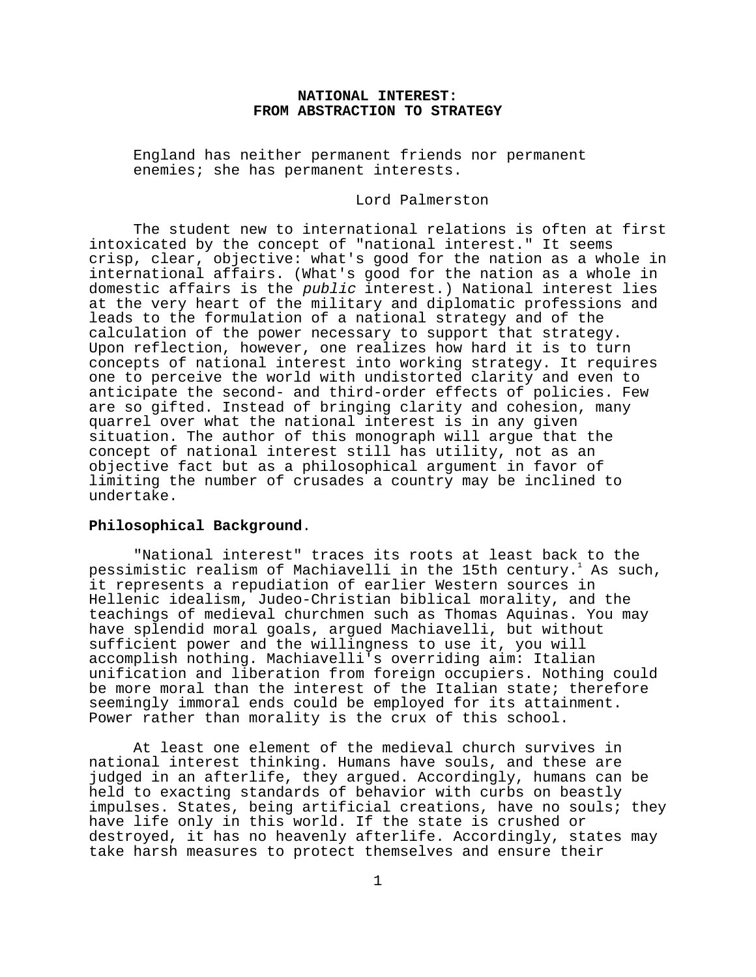# **NATIONAL INTEREST: FROM ABSTRACTION TO STRATEGY**

England has neither permanent friends nor permanent enemies; she has permanent interests.

Lord Palmerston

The student new to international relations is often at first intoxicated by the concept of "national interest." It seems crisp, clear, objective: what's good for the nation as a whole in international affairs. (What's good for the nation as a whole in domestic affairs is the public interest.) National interest lies at the very heart of the military and diplomatic professions and leads to the formulation of a national strategy and of the calculation of the power necessary to support that strategy. Upon reflection, however, one realizes how hard it is to turn concepts of national interest into working strategy. It requires one to perceive the world with undistorted clarity and even to anticipate the second- and third-order effects of policies. Few are so gifted. Instead of bringing clarity and cohesion, many quarrel over what the national interest is in any given situation. The author of this monograph will argue that the concept of national interest still has utility, not as an objective fact but as a philosophical argument in favor of limiting the number of crusades a country may be inclined to undertake.

## **Philosophical Background**.

"National interest" traces its roots at least back to the pessimistic realism of Machiavelli in the 15th century. $^{\rm 1}$  As such, it represents a repudiation of earlier Western sources in Hellenic idealism, Judeo-Christian biblical morality, and the teachings of medieval churchmen such as Thomas Aquinas. You may have splendid moral goals, argued Machiavelli, but without sufficient power and the willingness to use it, you will accomplish nothing. Machiavelli's overriding aim: Italian unification and liberation from foreign occupiers. Nothing could be more moral than the interest of the Italian state; therefore seemingly immoral ends could be employed for its attainment. Power rather than morality is the crux of this school.

At least one element of the medieval church survives in national interest thinking. Humans have souls, and these are judged in an afterlife, they argued. Accordingly, humans can be held to exacting standards of behavior with curbs on beastly impulses. States, being artificial creations, have no souls; they have life only in this world. If the state is crushed or destroyed, it has no heavenly afterlife. Accordingly, states may take harsh measures to protect themselves and ensure their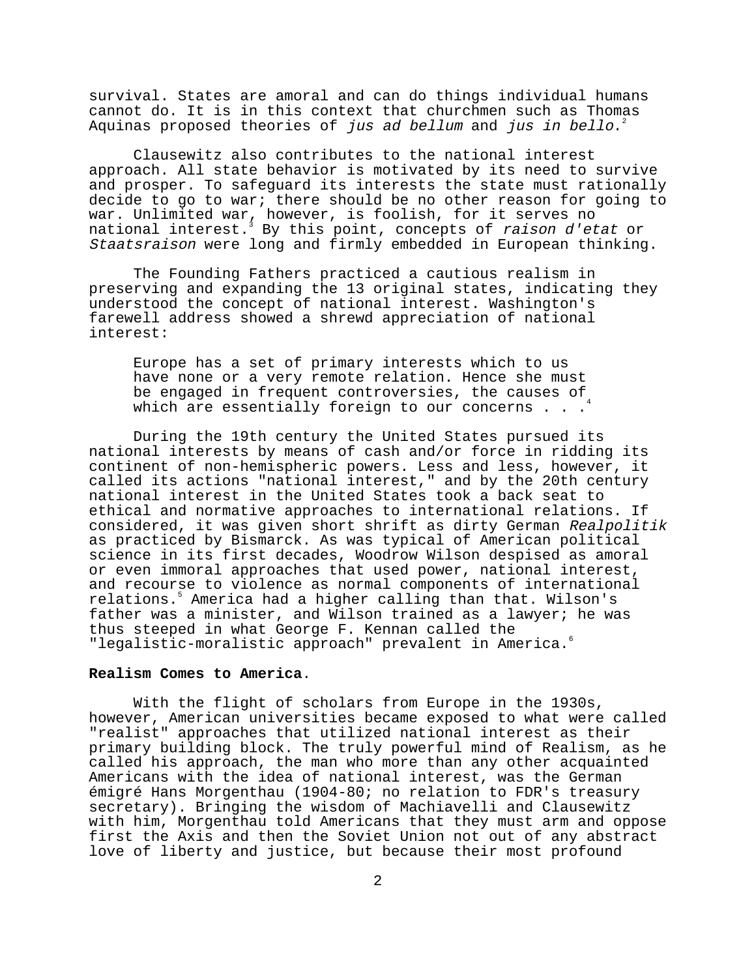survival. States are amoral and can do things individual humans cannot do. It is in this context that churchmen such as Thomas Aquinas proposed theories of jus ad bellum and jus in bello.<sup>2</sup>

Clausewitz also contributes to the national interest approach. All state behavior is motivated by its need to survive and prosper. To safeguard its interests the state must rationally decide to go to war; there should be no other reason for going to war. Unlimited war, however, is foolish, for it serves no national interest.<sup>3</sup> By this point, concepts of *raison d'etat* or Staatsraison were long and firmly embedded in European thinking.

The Founding Fathers practiced a cautious realism in preserving and expanding the 13 original states, indicating they understood the concept of national interest. Washington's farewell address showed a shrewd appreciation of national interest:

Europe has a set of primary interests which to us have none or a very remote relation. Hence she must be engaged in frequent controversies, the causes of which are essentially foreign to our concerns  $\ldots$ 

During the 19th century the United States pursued its national interests by means of cash and/or force in ridding its continent of non-hemispheric powers. Less and less, however, it called its actions "national interest," and by the 20th century national interest in the United States took a back seat to ethical and normative approaches to international relations. If considered, it was given short shrift as dirty German Realpolitik as practiced by Bismarck. As was typical of American political science in its first decades, Woodrow Wilson despised as amoral or even immoral approaches that used power, national interest, and recourse to violence as normal components of international relations.5 America had a higher calling than that. Wilson's father was a minister, and Wilson trained as a lawyer; he was thus steeped in what George F. Kennan called the "legalistic-moralistic approach" prevalent in America.

### **Realism Comes to America**.

With the flight of scholars from Europe in the 1930s, however, American universities became exposed to what were called "realist" approaches that utilized national interest as their primary building block. The truly powerful mind of Realism, as he called his approach, the man who more than any other acquainted Americans with the idea of national interest, was the German émigré Hans Morgenthau (1904-80; no relation to FDR's treasury secretary). Bringing the wisdom of Machiavelli and Clausewitz with him, Morgenthau told Americans that they must arm and oppose first the Axis and then the Soviet Union not out of any abstract love of liberty and justice, but because their most profound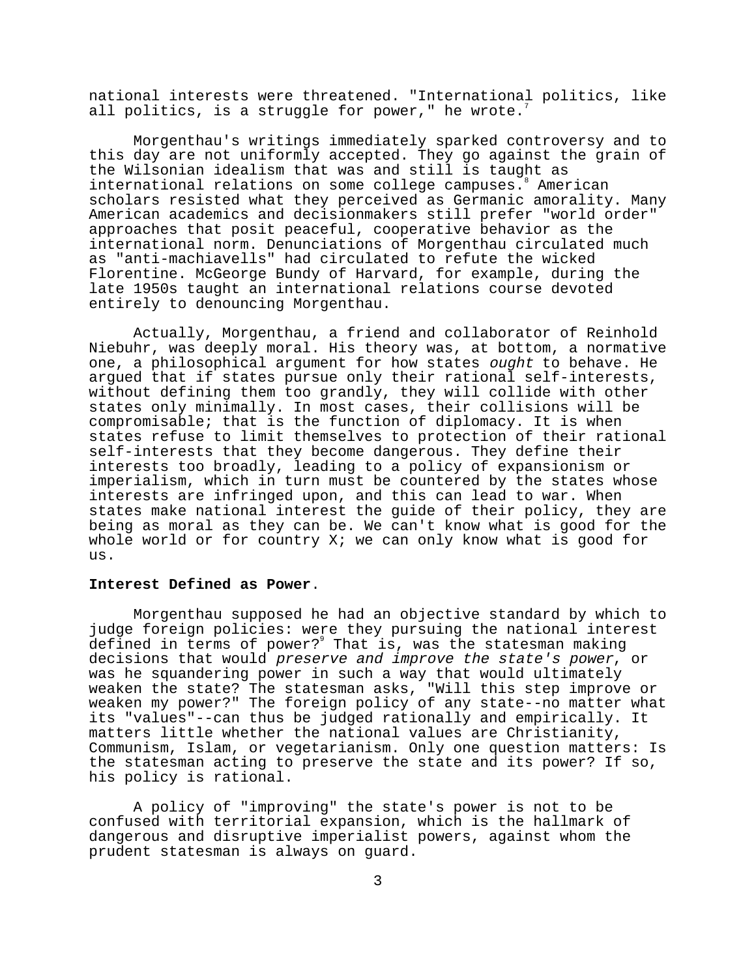national interests were threatened. "International politics, like all politics, is a struggle for power," he wrote. $7$ 

Morgenthau's writings immediately sparked controversy and to this day are not uniformly accepted. They go against the grain of the Wilsonian idealism that was and still is taught as international relations on some college campuses. American scholars resisted what they perceived as Germanic amorality. Many American academics and decisionmakers still prefer "world order" approaches that posit peaceful, cooperative behavior as the international norm. Denunciations of Morgenthau circulated much as "anti-machiavells" had circulated to refute the wicked Florentine. McGeorge Bundy of Harvard, for example, during the late 1950s taught an international relations course devoted entirely to denouncing Morgenthau.

Actually, Morgenthau, a friend and collaborator of Reinhold Niebuhr, was deeply moral. His theory was, at bottom, a normative one, a philosophical argument for how states ought to behave. He argued that if states pursue only their rational self-interests, without defining them too grandly, they will collide with other states only minimally. In most cases, their collisions will be compromisable; that is the function of diplomacy. It is when states refuse to limit themselves to protection of their rational self-interests that they become dangerous. They define their interests too broadly, leading to a policy of expansionism or imperialism, which in turn must be countered by the states whose interests are infringed upon, and this can lead to war. When states make national interest the guide of their policy, they are being as moral as they can be. We can't know what is good for the whole world or for country  $Xi$ ; we can only know what is good for us.

# **Interest Defined as Power**.

Morgenthau supposed he had an objective standard by which to judge foreign policies: were they pursuing the national interest defined in terms of power?' That is, was the statesman making decisions that would preserve and improve the state's power, or was he squandering power in such a way that would ultimately weaken the state? The statesman asks, "Will this step improve or weaken my power?" The foreign policy of any state--no matter what its "values"--can thus be judged rationally and empirically. It matters little whether the national values are Christianity, Communism, Islam, or vegetarianism. Only one question matters: Is the statesman acting to preserve the state and its power? If so, his policy is rational.

A policy of "improving" the state's power is not to be confused with territorial expansion, which is the hallmark of dangerous and disruptive imperialist powers, against whom the prudent statesman is always on guard.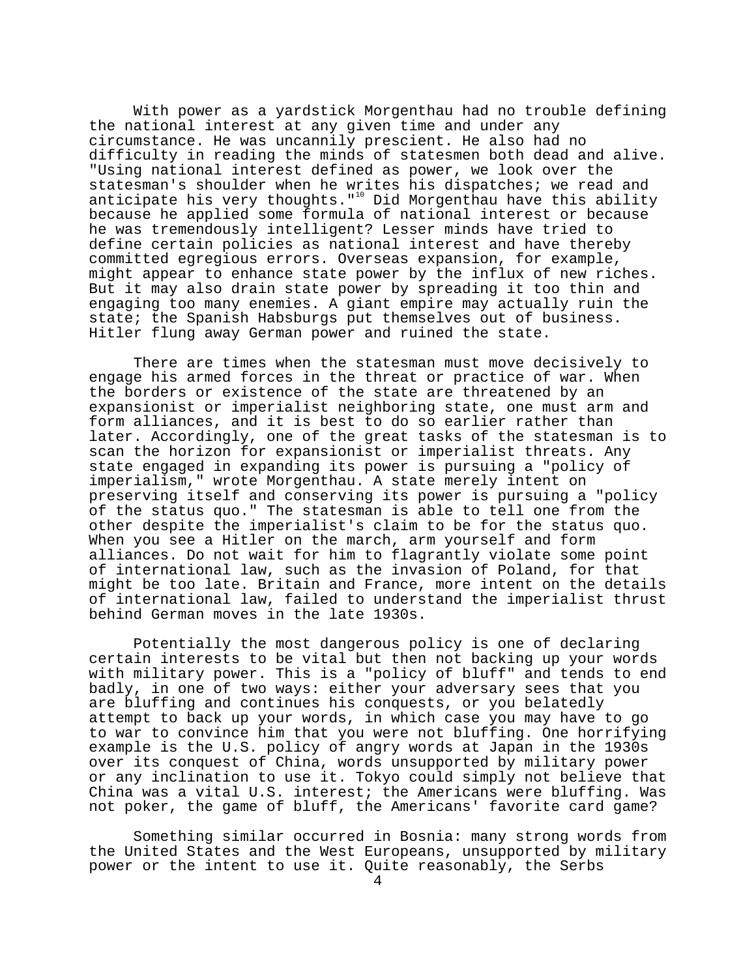With power as a yardstick Morgenthau had no trouble defining the national interest at any given time and under any circumstance. He was uncannily prescient. He also had no difficulty in reading the minds of statesmen both dead and alive. "Using national interest defined as power, we look over the statesman's shoulder when he writes his dispatches; we read and anticipate his very thoughts."<sup>10</sup> Did Morgenthau have this ability because he applied some formula of national interest or because he was tremendously intelligent? Lesser minds have tried to define certain policies as national interest and have thereby committed egregious errors. Overseas expansion, for example, might appear to enhance state power by the influx of new riches. But it may also drain state power by spreading it too thin and engaging too many enemies. A giant empire may actually ruin the state; the Spanish Habsburgs put themselves out of business. Hitler flung away German power and ruined the state.

There are times when the statesman must move decisively to engage his armed forces in the threat or practice of war. When the borders or existence of the state are threatened by an expansionist or imperialist neighboring state, one must arm and form alliances, and it is best to do so earlier rather than later. Accordingly, one of the great tasks of the statesman is to scan the horizon for expansionist or imperialist threats. Any state engaged in expanding its power is pursuing a "policy of imperialism," wrote Morgenthau. A state merely intent on preserving itself and conserving its power is pursuing a "policy of the status quo." The statesman is able to tell one from the other despite the imperialist's claim to be for the status quo. When you see a Hitler on the march, arm yourself and form alliances. Do not wait for him to flagrantly violate some point of international law, such as the invasion of Poland, for that might be too late. Britain and France, more intent on the details of international law, failed to understand the imperialist thrust behind German moves in the late 1930s.

Potentially the most dangerous policy is one of declaring certain interests to be vital but then not backing up your words with military power. This is a "policy of bluff" and tends to end badly, in one of two ways: either your adversary sees that you are bluffing and continues his conquests, or you belatedly attempt to back up your words, in which case you may have to go to war to convince him that you were not bluffing. One horrifying example is the U.S. policy of angry words at Japan in the 1930s over its conquest of China, words unsupported by military power or any inclination to use it. Tokyo could simply not believe that China was a vital U.S. interest; the Americans were bluffing. Was not poker, the game of bluff, the Americans' favorite card game?

Something similar occurred in Bosnia: many strong words from the United States and the West Europeans, unsupported by military power or the intent to use it. Quite reasonably, the Serbs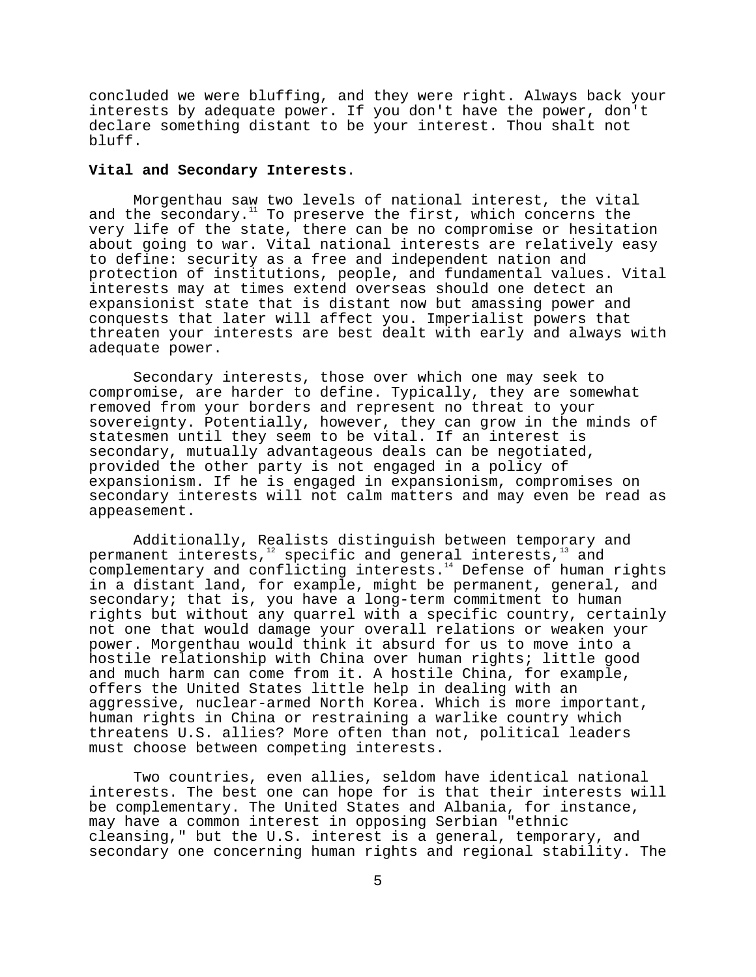concluded we were bluffing, and they were right. Always back your interests by adequate power. If you don't have the power, don't declare something distant to be your interest. Thou shalt not bluff.

### **Vital and Secondary Interests**.

Morgenthau saw two levels of national interest, the vital and the secondary.<sup>11</sup> To preserve the first, which concerns the very life of the state, there can be no compromise or hesitation about going to war. Vital national interests are relatively easy to define: security as a free and independent nation and protection of institutions, people, and fundamental values. Vital interests may at times extend overseas should one detect an expansionist state that is distant now but amassing power and conquests that later will affect you. Imperialist powers that threaten your interests are best dealt with early and always with adequate power.

Secondary interests, those over which one may seek to compromise, are harder to define. Typically, they are somewhat removed from your borders and represent no threat to your sovereignty. Potentially, however, they can grow in the minds of statesmen until they seem to be vital. If an interest is secondary, mutually advantageous deals can be negotiated, provided the other party is not engaged in a policy of expansionism. If he is engaged in expansionism, compromises on secondary interests will not calm matters and may even be read as appeasement.

Additionally, Realists distinguish between temporary and permanent interests, $12$  specific and general interests, $13$  and complementary and conflicting interests.<sup>14</sup> Defense of human rights in a distant land, for example, might be permanent, general, and secondary; that is, you have a long-term commitment to human rights but without any quarrel with a specific country, certainly not one that would damage your overall relations or weaken your power. Morgenthau would think it absurd for us to move into a hostile relationship with China over human rights; little good and much harm can come from it. A hostile China, for example, offers the United States little help in dealing with an aggressive, nuclear-armed North Korea. Which is more important, human rights in China or restraining a warlike country which threatens U.S. allies? More often than not, political leaders must choose between competing interests.

Two countries, even allies, seldom have identical national interests. The best one can hope for is that their interests will be complementary. The United States and Albania, for instance, may have a common interest in opposing Serbian "ethnic cleansing," but the U.S. interest is a general, temporary, and secondary one concerning human rights and regional stability. The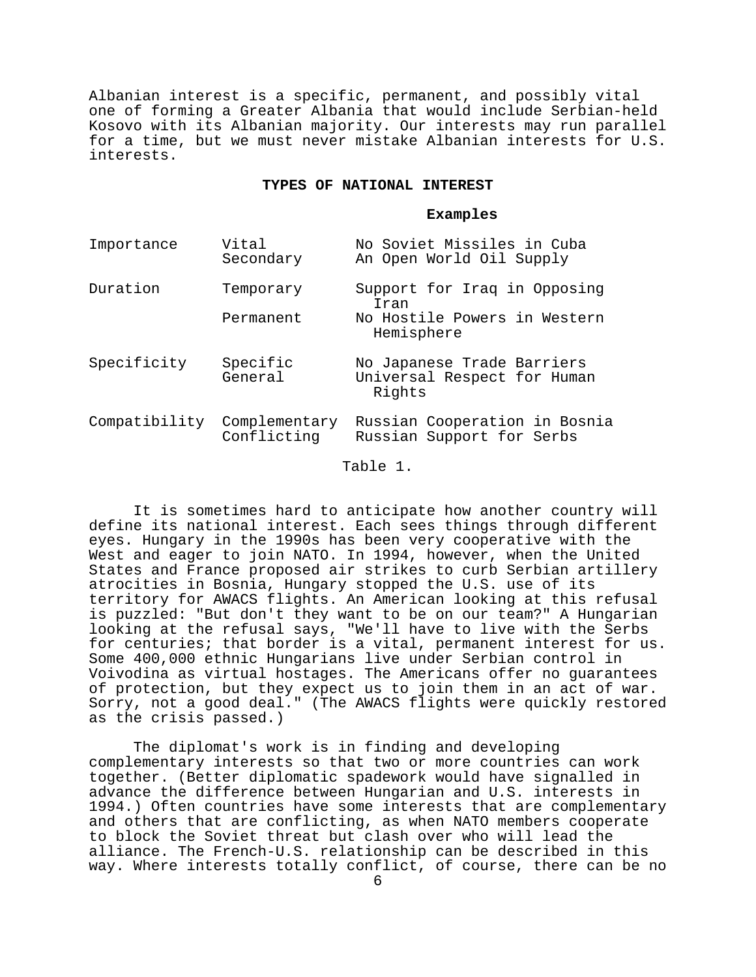Albanian interest is a specific, permanent, and possibly vital one of forming a Greater Albania that would include Serbian-held Kosovo with its Albanian majority. Our interests may run parallel for a time, but we must never mistake Albanian interests for U.S. interests.

#### **TYPES OF NATIONAL INTEREST**

#### **Examples**

| Importance    | Vital<br>Secondary           | No Soviet Missiles in Cuba<br>An Open World Oil Supply              |
|---------------|------------------------------|---------------------------------------------------------------------|
| Duration      | Temporary                    | Support for Iraq in Opposing<br>Tran                                |
|               | Permanent                    | No Hostile Powers in Western<br>Hemisphere                          |
| Specificity   | Specific<br>General          | No Japanese Trade Barriers<br>Universal Respect for Human<br>Rights |
| Compatibility | Complementary<br>Conflicting | Russian Cooperation in Bosnia<br>Russian Support for Serbs          |

#### Table 1.

It is sometimes hard to anticipate how another country will define its national interest. Each sees things through different eyes. Hungary in the 1990s has been very cooperative with the West and eager to join NATO. In 1994, however, when the United States and France proposed air strikes to curb Serbian artillery atrocities in Bosnia, Hungary stopped the U.S. use of its territory for AWACS flights. An American looking at this refusal is puzzled: "But don't they want to be on our team?" A Hungarian looking at the refusal says, "We'll have to live with the Serbs for centuries; that border is a vital, permanent interest for us. Some 400,000 ethnic Hungarians live under Serbian control in Voivodina as virtual hostages. The Americans offer no guarantees of protection, but they expect us to join them in an act of war. Sorry, not a good deal." (The AWACS flights were quickly restored as the crisis passed.)

The diplomat's work is in finding and developing complementary interests so that two or more countries can work together. (Better diplomatic spadework would have signalled in advance the difference between Hungarian and U.S. interests in 1994.) Often countries have some interests that are complementary and others that are conflicting, as when NATO members cooperate to block the Soviet threat but clash over who will lead the alliance. The French-U.S. relationship can be described in this way. Where interests totally conflict, of course, there can be no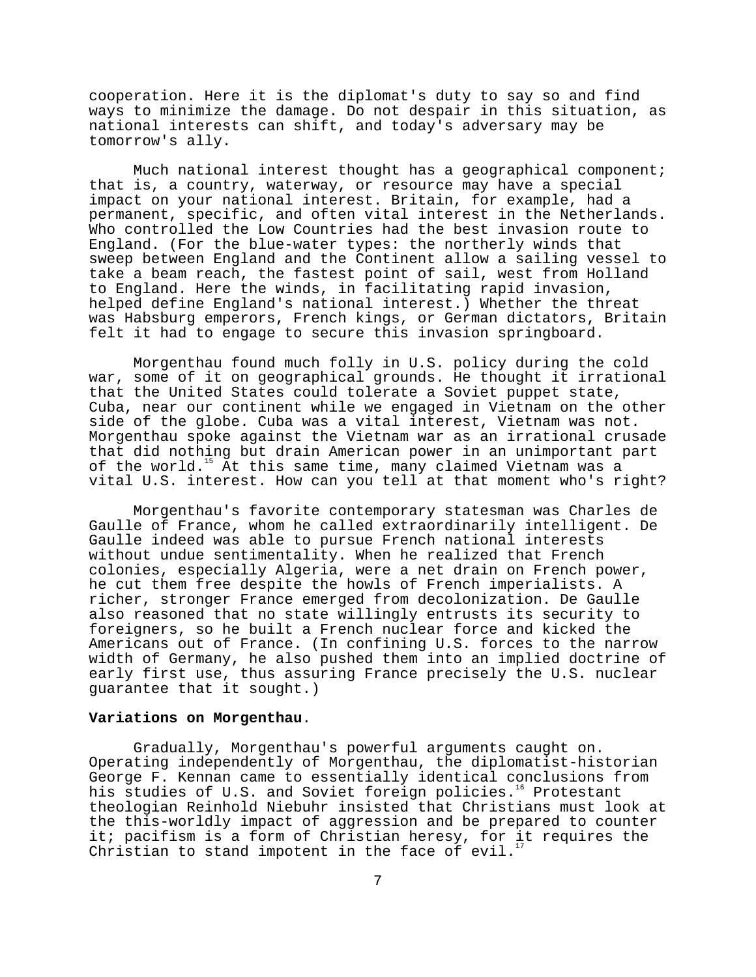cooperation. Here it is the diplomat's duty to say so and find ways to minimize the damage. Do not despair in this situation, as national interests can shift, and today's adversary may be tomorrow's ally.

Much national interest thought has a geographical component; that is, a country, waterway, or resource may have a special impact on your national interest. Britain, for example, had a permanent, specific, and often vital interest in the Netherlands. Who controlled the Low Countries had the best invasion route to England. (For the blue-water types: the northerly winds that sweep between England and the Continent allow a sailing vessel to take a beam reach, the fastest point of sail, west from Holland to England. Here the winds, in facilitating rapid invasion, helped define England's national interest.) Whether the threat was Habsburg emperors, French kings, or German dictators, Britain felt it had to engage to secure this invasion springboard.

Morgenthau found much folly in U.S. policy during the cold war, some of it on geographical grounds. He thought it irrational that the United States could tolerate a Soviet puppet state, Cuba, near our continent while we engaged in Vietnam on the other side of the globe. Cuba was a vital interest, Vietnam was not. Morgenthau spoke against the Vietnam war as an irrational crusade that did nothing but drain American power in an unimportant part of the world.<sup>15</sup> At this same time, many claimed Vietnam was a vital U.S. interest. How can you tell at that moment who's right?

Morgenthau's favorite contemporary statesman was Charles de Gaulle of France, whom he called extraordinarily intelligent. De Gaulle indeed was able to pursue French national interests without undue sentimentality. When he realized that French colonies, especially Algeria, were a net drain on French power, he cut them free despite the howls of French imperialists. A richer, stronger France emerged from decolonization. De Gaulle also reasoned that no state willingly entrusts its security to foreigners, so he built a French nuclear force and kicked the Americans out of France. (In confining U.S. forces to the narrow width of Germany, he also pushed them into an implied doctrine of early first use, thus assuring France precisely the U.S. nuclear guarantee that it sought.)

#### **Variations on Morgenthau**.

Gradually, Morgenthau's powerful arguments caught on. Operating independently of Morgenthau, the diplomatist-historian George F. Kennan came to essentially identical conclusions from his studies of U.S. and Soviet foreign policies.<sup>16</sup> Protestant theologian Reinhold Niebuhr insisted that Christians must look at the this-worldly impact of aggression and be prepared to counter it; pacifism is a form of Christian heresy, for it requires the Christian to stand impotent in the face of  $evil.$ <sup>1</sup>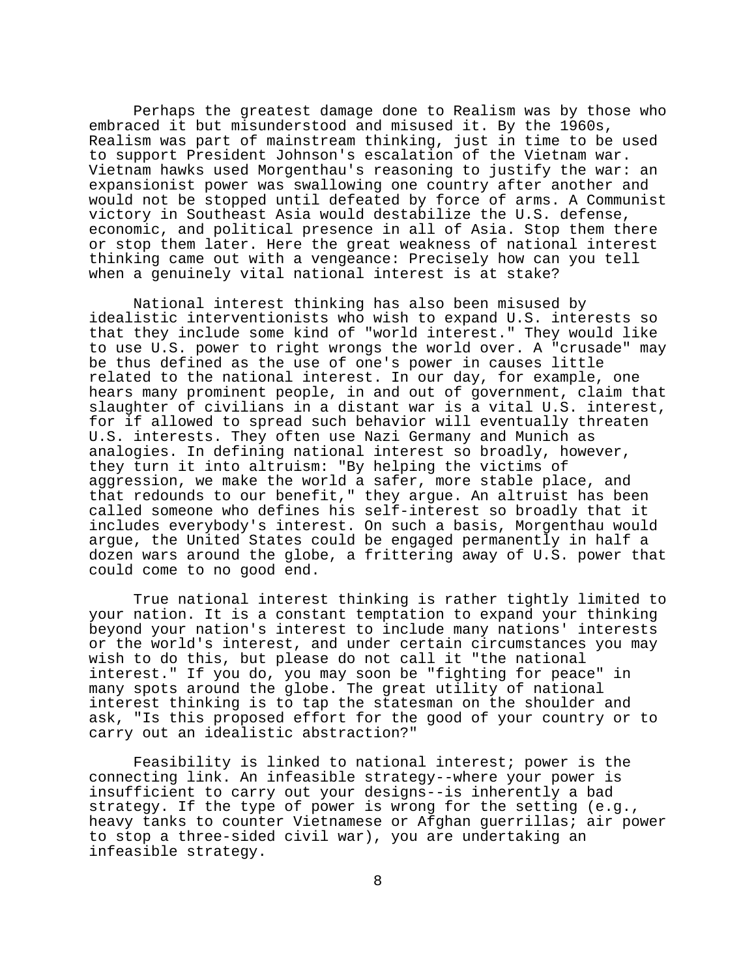Perhaps the greatest damage done to Realism was by those who embraced it but misunderstood and misused it. By the 1960s, Realism was part of mainstream thinking, just in time to be used to support President Johnson's escalation of the Vietnam war. Vietnam hawks used Morgenthau's reasoning to justify the war: an expansionist power was swallowing one country after another and would not be stopped until defeated by force of arms. A Communist victory in Southeast Asia would destabilize the U.S. defense, economic, and political presence in all of Asia. Stop them there or stop them later. Here the great weakness of national interest thinking came out with a vengeance: Precisely how can you tell when a genuinely vital national interest is at stake?

National interest thinking has also been misused by idealistic interventionists who wish to expand U.S. interests so that they include some kind of "world interest." They would like to use U.S. power to right wrongs the world over. A "crusade" may be thus defined as the use of one's power in causes little related to the national interest. In our day, for example, one hears many prominent people, in and out of government, claim that slaughter of civilians in a distant war is a vital U.S. interest, for if allowed to spread such behavior will eventually threaten U.S. interests. They often use Nazi Germany and Munich as analogies. In defining national interest so broadly, however, they turn it into altruism: "By helping the victims of aggression, we make the world a safer, more stable place, and that redounds to our benefit," they argue. An altruist has been called someone who defines his self-interest so broadly that it includes everybody's interest. On such a basis, Morgenthau would argue, the United States could be engaged permanently in half a dozen wars around the globe, a frittering away of U.S. power that could come to no good end.

True national interest thinking is rather tightly limited to your nation. It is a constant temptation to expand your thinking beyond your nation's interest to include many nations' interests or the world's interest, and under certain circumstances you may wish to do this, but please do not call it "the national interest." If you do, you may soon be "fighting for peace" in many spots around the globe. The great utility of national interest thinking is to tap the statesman on the shoulder and ask, "Is this proposed effort for the good of your country or to carry out an idealistic abstraction?"

Feasibility is linked to national interest; power is the connecting link. An infeasible strategy--where your power is insufficient to carry out your designs--is inherently a bad strategy. If the type of power is wrong for the setting (e.g., heavy tanks to counter Vietnamese or Afghan guerrillas; air power to stop a three-sided civil war), you are undertaking an infeasible strategy.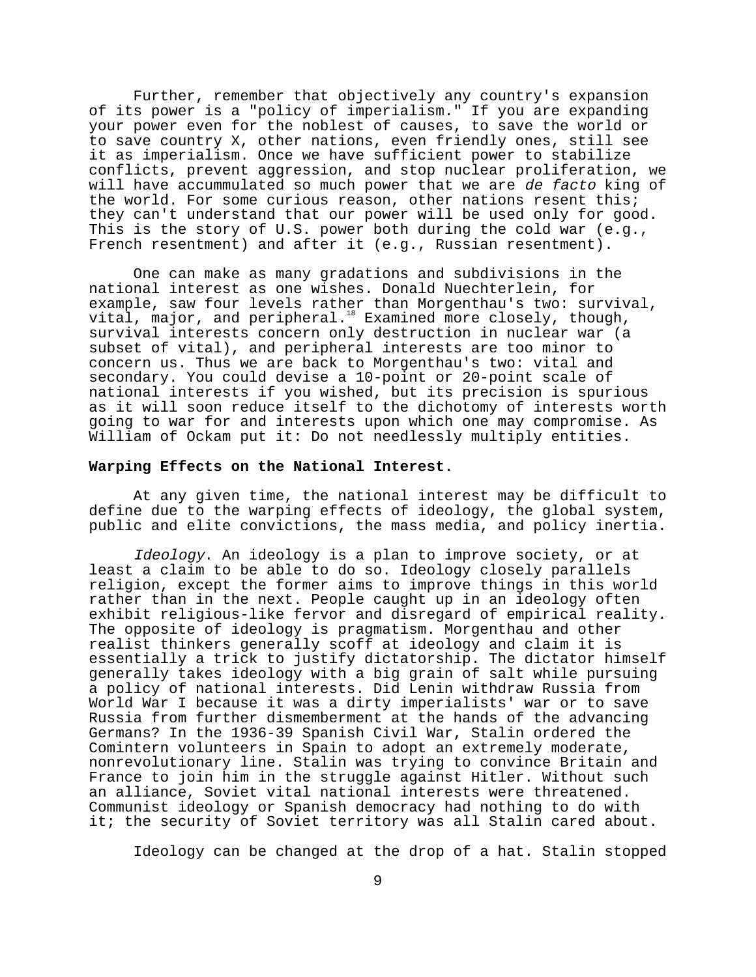Further, remember that objectively any country's expansion of its power is a "policy of imperialism." If you are expanding your power even for the noblest of causes, to save the world or to save country X, other nations, even friendly ones, still see it as imperialism. Once we have sufficient power to stabilize conflicts, prevent aggression, and stop nuclear proliferation, we will have accummulated so much power that we are de facto king of the world. For some curious reason, other nations resent this; they can't understand that our power will be used only for good. This is the story of U.S. power both during the cold war (e.g., French resentment) and after it (e.g., Russian resentment).

One can make as many gradations and subdivisions in the national interest as one wishes. Donald Nuechterlein, for example, saw four levels rather than Morgenthau's two: survival, vital, major, and peripheral.<sup>18</sup> Examined more closely, though, survival interests concern only destruction in nuclear war (a subset of vital), and peripheral interests are too minor to concern us. Thus we are back to Morgenthau's two: vital and secondary. You could devise a 10-point or 20-point scale of national interests if you wished, but its precision is spurious as it will soon reduce itself to the dichotomy of interests worth going to war for and interests upon which one may compromise. As William of Ockam put it: Do not needlessly multiply entities.

### **Warping Effects on the National Interest**.

At any given time, the national interest may be difficult to define due to the warping effects of ideology, the global system, public and elite convictions, the mass media, and policy inertia.

Ideology. An ideology is a plan to improve society, or at least a claim to be able to do so. Ideology closely parallels religion, except the former aims to improve things in this world rather than in the next. People caught up in an ideology often exhibit religious-like fervor and disregard of empirical reality. The opposite of ideology is pragmatism. Morgenthau and other realist thinkers generally scoff at ideology and claim it is essentially a trick to justify dictatorship. The dictator himself generally takes ideology with a big grain of salt while pursuing a policy of national interests. Did Lenin withdraw Russia from World War I because it was a dirty imperialists' war or to save Russia from further dismemberment at the hands of the advancing Germans? In the 1936-39 Spanish Civil War, Stalin ordered the Comintern volunteers in Spain to adopt an extremely moderate, nonrevolutionary line. Stalin was trying to convince Britain and France to join him in the struggle against Hitler. Without such an alliance, Soviet vital national interests were threatened. Communist ideology or Spanish democracy had nothing to do with it; the security of Soviet territory was all Stalin cared about.

Ideology can be changed at the drop of a hat. Stalin stopped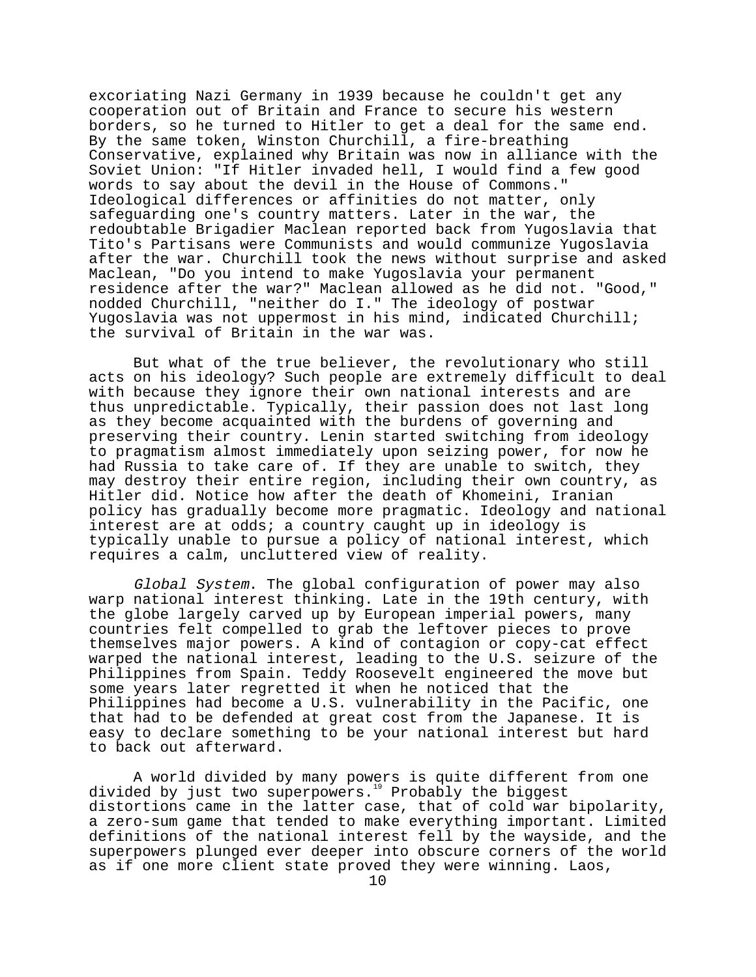excoriating Nazi Germany in 1939 because he couldn't get any cooperation out of Britain and France to secure his western borders, so he turned to Hitler to get a deal for the same end. By the same token, Winston Churchill, a fire-breathing Conservative, explained why Britain was now in alliance with the Soviet Union: "If Hitler invaded hell, I would find a few good words to say about the devil in the House of Commons." Ideological differences or affinities do not matter, only safeguarding one's country matters. Later in the war, the redoubtable Brigadier Maclean reported back from Yugoslavia that Tito's Partisans were Communists and would communize Yugoslavia after the war. Churchill took the news without surprise and asked Maclean, "Do you intend to make Yugoslavia your permanent residence after the war?" Maclean allowed as he did not. "Good," nodded Churchill, "neither do I." The ideology of postwar Yugoslavia was not uppermost in his mind, indicated Churchill; the survival of Britain in the war was.

But what of the true believer, the revolutionary who still acts on his ideology? Such people are extremely difficult to deal with because they ignore their own national interests and are thus unpredictable. Typically, their passion does not last long as they become acquainted with the burdens of governing and preserving their country. Lenin started switching from ideology to pragmatism almost immediately upon seizing power, for now he had Russia to take care of. If they are unable to switch, they may destroy their entire region, including their own country, as Hitler did. Notice how after the death of Khomeini, Iranian policy has gradually become more pragmatic. Ideology and national interest are at odds; a country caught up in ideology is typically unable to pursue a policy of national interest, which requires a calm, uncluttered view of reality.

Global System. The global configuration of power may also warp national interest thinking. Late in the 19th century, with the globe largely carved up by European imperial powers, many countries felt compelled to grab the leftover pieces to prove themselves major powers. A kind of contagion or copy-cat effect warped the national interest, leading to the U.S. seizure of the Philippines from Spain. Teddy Roosevelt engineered the move but some years later regretted it when he noticed that the Philippines had become a U.S. vulnerability in the Pacific, one that had to be defended at great cost from the Japanese. It is easy to declare something to be your national interest but hard to back out afterward.

A world divided by many powers is quite different from one divided by just two superpowers.<sup>19</sup> Probably the biggest distortions came in the latter case, that of cold war bipolarity, a zero-sum game that tended to make everything important. Limited definitions of the national interest fell by the wayside, and the superpowers plunged ever deeper into obscure corners of the world as if one more client state proved they were winning. Laos,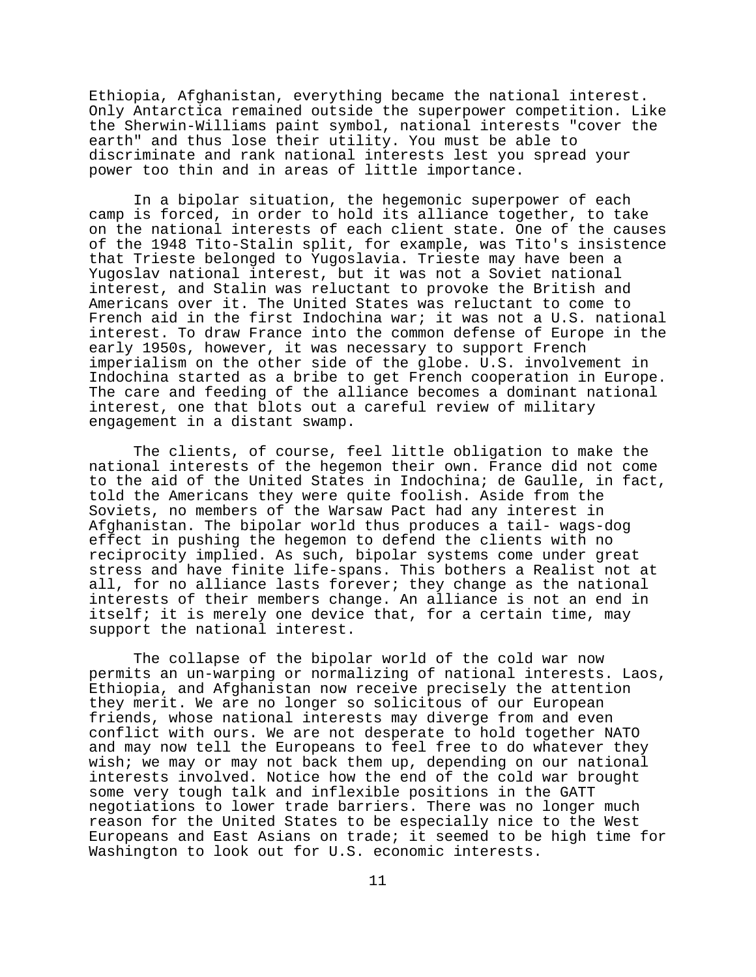Ethiopia, Afghanistan, everything became the national interest. Only Antarctica remained outside the superpower competition. Like the Sherwin-Williams paint symbol, national interests "cover the earth" and thus lose their utility. You must be able to discriminate and rank national interests lest you spread your power too thin and in areas of little importance.

In a bipolar situation, the hegemonic superpower of each camp is forced, in order to hold its alliance together, to take on the national interests of each client state. One of the causes of the 1948 Tito-Stalin split, for example, was Tito's insistence that Trieste belonged to Yugoslavia. Trieste may have been a Yugoslav national interest, but it was not a Soviet national interest, and Stalin was reluctant to provoke the British and Americans over it. The United States was reluctant to come to French aid in the first Indochina war; it was not a U.S. national interest. To draw France into the common defense of Europe in the early 1950s, however, it was necessary to support French imperialism on the other side of the globe. U.S. involvement in Indochina started as a bribe to get French cooperation in Europe. The care and feeding of the alliance becomes a dominant national interest, one that blots out a careful review of military engagement in a distant swamp.

The clients, of course, feel little obligation to make the national interests of the hegemon their own. France did not come to the aid of the United States in Indochina; de Gaulle, in fact, told the Americans they were quite foolish. Aside from the Soviets, no members of the Warsaw Pact had any interest in Afghanistan. The bipolar world thus produces a tail- wags-dog effect in pushing the hegemon to defend the clients with no reciprocity implied. As such, bipolar systems come under great stress and have finite life-spans. This bothers a Realist not at all, for no alliance lasts forever; they change as the national interests of their members change. An alliance is not an end in itself; it is merely one device that, for a certain time, may support the national interest.

The collapse of the bipolar world of the cold war now permits an un-warping or normalizing of national interests. Laos, Ethiopia, and Afghanistan now receive precisely the attention they merit. We are no longer so solicitous of our European friends, whose national interests may diverge from and even conflict with ours. We are not desperate to hold together NATO and may now tell the Europeans to feel free to do whatever they wish; we may or may not back them up, depending on our national interests involved. Notice how the end of the cold war brought some very tough talk and inflexible positions in the GATT negotiations to lower trade barriers. There was no longer much reason for the United States to be especially nice to the West Europeans and East Asians on trade; it seemed to be high time for Washington to look out for U.S. economic interests.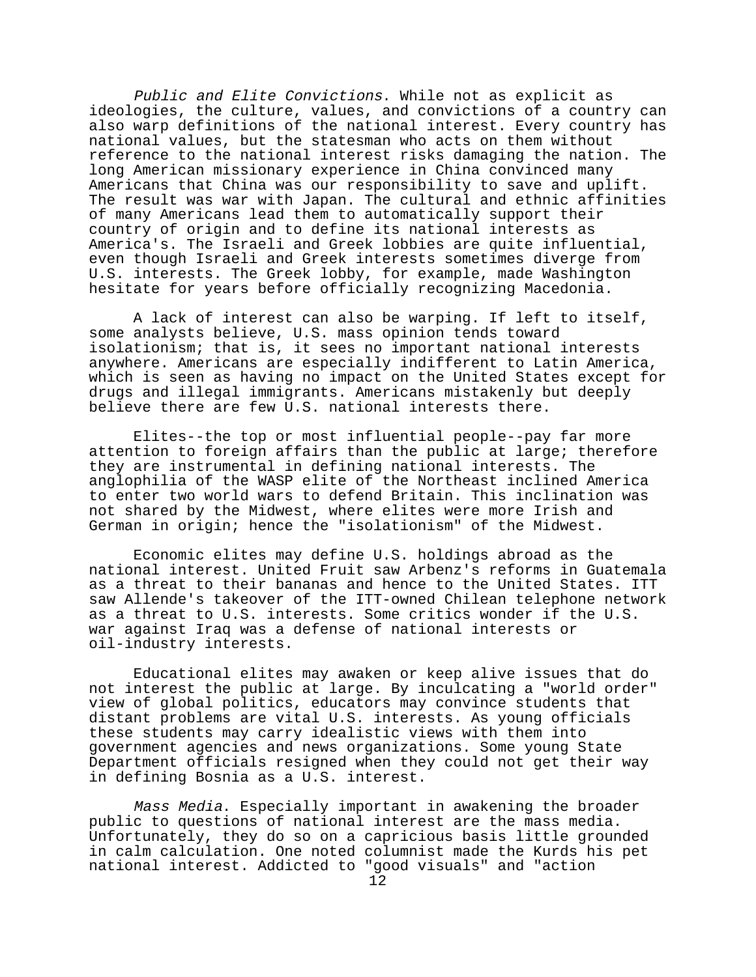Public and Elite Convictions. While not as explicit as ideologies, the culture, values, and convictions of a country can also warp definitions of the national interest. Every country has national values, but the statesman who acts on them without reference to the national interest risks damaging the nation. The long American missionary experience in China convinced many Americans that China was our responsibility to save and uplift. The result was war with Japan. The cultural and ethnic affinities of many Americans lead them to automatically support their country of origin and to define its national interests as America's. The Israeli and Greek lobbies are quite influential, even though Israeli and Greek interests sometimes diverge from U.S. interests. The Greek lobby, for example, made Washington hesitate for years before officially recognizing Macedonia.

A lack of interest can also be warping. If left to itself, some analysts believe, U.S. mass opinion tends toward isolationism; that is, it sees no important national interests anywhere. Americans are especially indifferent to Latin America, which is seen as having no impact on the United States except for drugs and illegal immigrants. Americans mistakenly but deeply believe there are few U.S. national interests there.

Elites--the top or most influential people--pay far more attention to foreign affairs than the public at large; therefore they are instrumental in defining national interests. The anglophilia of the WASP elite of the Northeast inclined America to enter two world wars to defend Britain. This inclination was not shared by the Midwest, where elites were more Irish and German in origin; hence the "isolationism" of the Midwest.

Economic elites may define U.S. holdings abroad as the national interest. United Fruit saw Arbenz's reforms in Guatemala as a threat to their bananas and hence to the United States. ITT saw Allende's takeover of the ITT-owned Chilean telephone network as a threat to U.S. interests. Some critics wonder if the U.S. war against Iraq was a defense of national interests or oil-industry interests.

Educational elites may awaken or keep alive issues that do not interest the public at large. By inculcating a "world order" view of global politics, educators may convince students that distant problems are vital U.S. interests. As young officials these students may carry idealistic views with them into government agencies and news organizations. Some young State Department officials resigned when they could not get their way in defining Bosnia as a U.S. interest.

Mass Media. Especially important in awakening the broader public to questions of national interest are the mass media. Unfortunately, they do so on a capricious basis little grounded in calm calculation. One noted columnist made the Kurds his pet national interest. Addicted to "good visuals" and "action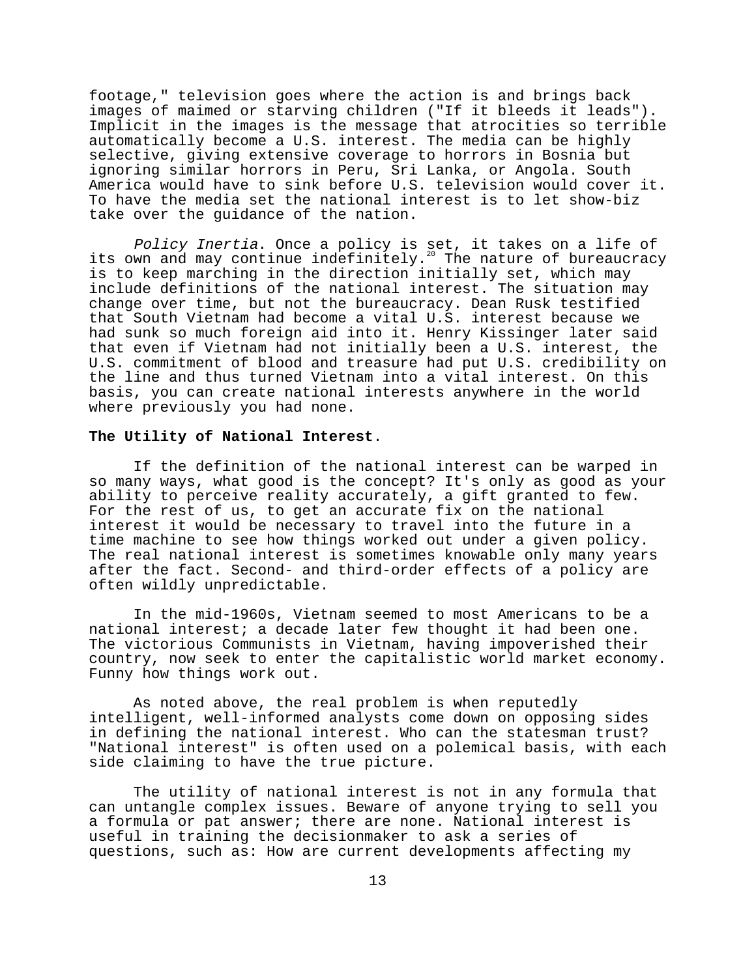footage," television goes where the action is and brings back images of maimed or starving children ("If it bleeds it leads"). Implicit in the images is the message that atrocities so terrible automatically become a U.S. interest. The media can be highly selective, giving extensive coverage to horrors in Bosnia but ignoring similar horrors in Peru, Sri Lanka, or Angola. South America would have to sink before U.S. television would cover it. To have the media set the national interest is to let show-biz take over the guidance of the nation.

Policy Inertia. Once a policy is set, it takes on a life of its own and may continue indefinitely.<sup>20</sup> The nature of bureaucracy is to keep marching in the direction initially set, which may include definitions of the national interest. The situation may change over time, but not the bureaucracy. Dean Rusk testified that South Vietnam had become a vital U.S. interest because we had sunk so much foreign aid into it. Henry Kissinger later said that even if Vietnam had not initially been a U.S. interest, the U.S. commitment of blood and treasure had put U.S. credibility on the line and thus turned Vietnam into a vital interest. On this basis, you can create national interests anywhere in the world where previously you had none.

## **The Utility of National Interest**.

If the definition of the national interest can be warped in so many ways, what good is the concept? It's only as good as your ability to perceive reality accurately, a gift granted to few. For the rest of us, to get an accurate fix on the national interest it would be necessary to travel into the future in a time machine to see how things worked out under a given policy. The real national interest is sometimes knowable only many years after the fact. Second- and third-order effects of a policy are often wildly unpredictable.

In the mid-1960s, Vietnam seemed to most Americans to be a national interest; a decade later few thought it had been one. The victorious Communists in Vietnam, having impoverished their country, now seek to enter the capitalistic world market economy. Funny how things work out.

As noted above, the real problem is when reputedly intelligent, well-informed analysts come down on opposing sides in defining the national interest. Who can the statesman trust? "National interest" is often used on a polemical basis, with each side claiming to have the true picture.

The utility of national interest is not in any formula that can untangle complex issues. Beware of anyone trying to sell you a formula or pat answer; there are none. National interest is useful in training the decisionmaker to ask a series of questions, such as: How are current developments affecting my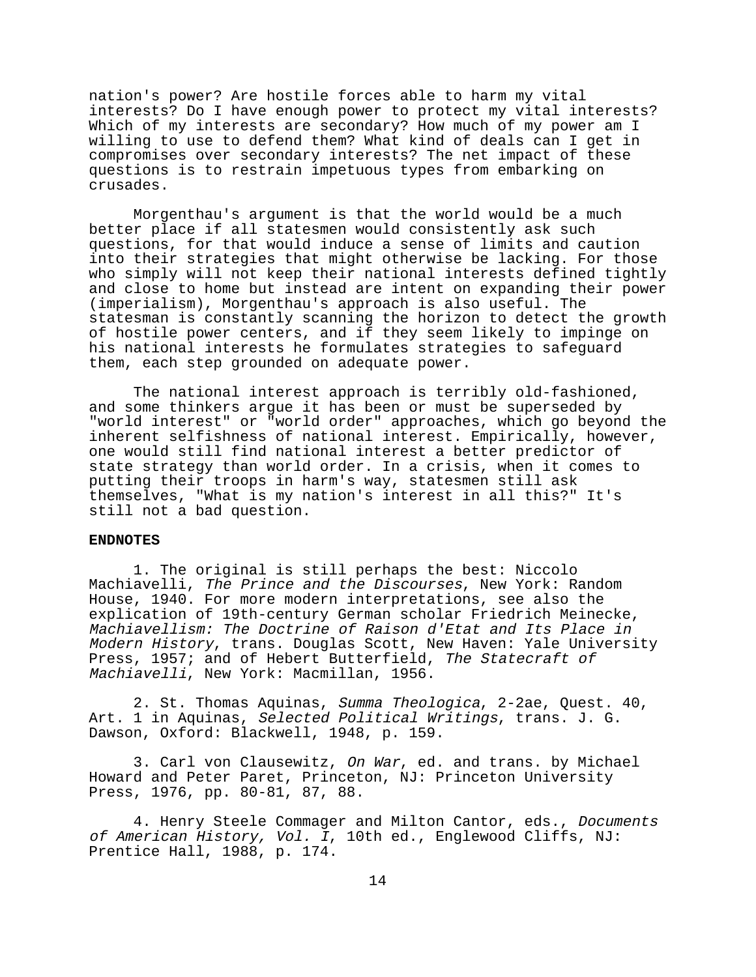nation's power? Are hostile forces able to harm my vital interests? Do I have enough power to protect my vital interests? Which of my interests are secondary? How much of my power am I willing to use to defend them? What kind of deals can I get in compromises over secondary interests? The net impact of these questions is to restrain impetuous types from embarking on crusades.

Morgenthau's argument is that the world would be a much better place if all statesmen would consistently ask such questions, for that would induce a sense of limits and caution into their strategies that might otherwise be lacking. For those who simply will not keep their national interests defined tightly and close to home but instead are intent on expanding their power (imperialism), Morgenthau's approach is also useful. The statesman is constantly scanning the horizon to detect the growth of hostile power centers, and if they seem likely to impinge on his national interests he formulates strategies to safeguard them, each step grounded on adequate power.

The national interest approach is terribly old-fashioned, and some thinkers argue it has been or must be superseded by "world interest" or "world order" approaches, which go beyond the inherent selfishness of national interest. Empirically, however, one would still find national interest a better predictor of state strategy than world order. In a crisis, when it comes to putting their troops in harm's way, statesmen still ask themselves, "What is my nation's interest in all this?" It's still not a bad question.

#### **ENDNOTES**

1. The original is still perhaps the best: Niccolo Machiavelli, The Prince and the Discourses, New York: Random House, 1940. For more modern interpretations, see also the explication of 19th-century German scholar Friedrich Meinecke, Machiavellism: The Doctrine of Raison d'Etat and Its Place in Modern History, trans. Douglas Scott, New Haven: Yale University Press, 1957; and of Hebert Butterfield, The Statecraft of Machiavelli, New York: Macmillan, 1956.

2. St. Thomas Aquinas, Summa Theologica, 2-2ae, Quest. 40, Art. 1 in Aquinas, Selected Political Writings, trans. J. G. Dawson, Oxford: Blackwell, 1948, p. 159.

3. Carl von Clausewitz, On War, ed. and trans. by Michael Howard and Peter Paret, Princeton, NJ: Princeton University Press, 1976, pp. 80-81, 87, 88.

4. Henry Steele Commager and Milton Cantor, eds., Documents of American History, Vol. I, 10th ed., Englewood Cliffs, NJ: Prentice Hall, 1988, p. 174.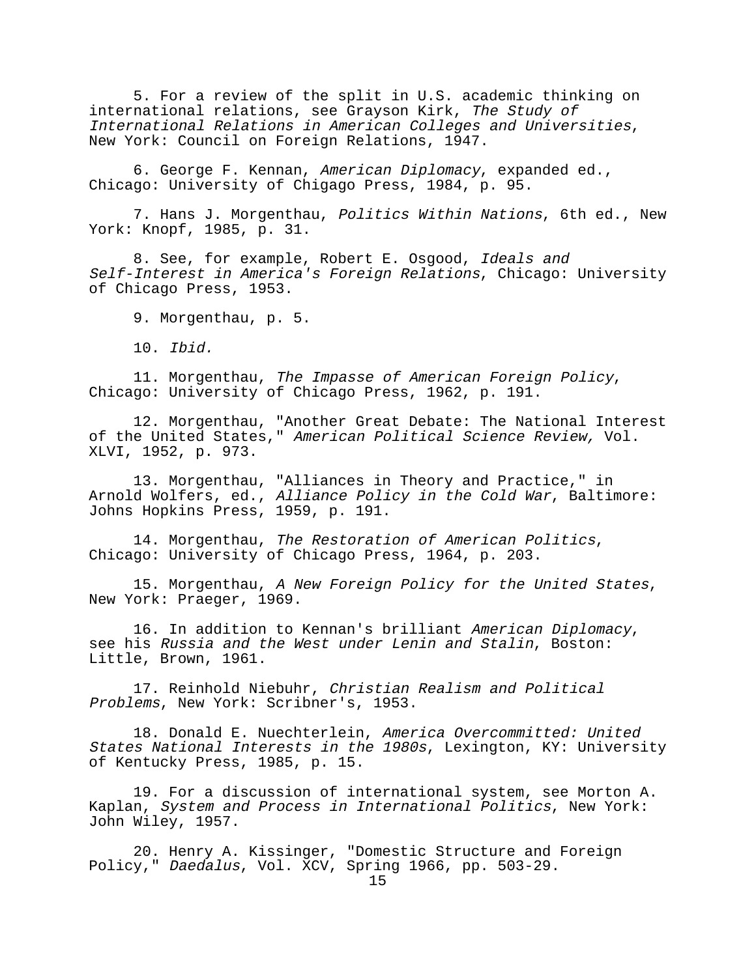5. For a review of the split in U.S. academic thinking on international relations, see Grayson Kirk, The Study of International Relations in American Colleges and Universities, New York: Council on Foreign Relations, 1947.

6. George F. Kennan, American Diplomacy, expanded ed., Chicago: University of Chigago Press, 1984, p. 95.

7. Hans J. Morgenthau, Politics Within Nations, 6th ed., New York: Knopf, 1985, p. 31.

8. See, for example, Robert E. Osgood, Ideals and Self-Interest in America's Foreign Relations, Chicago: University of Chicago Press, 1953.

9. Morgenthau, p. 5.

10. Ibid.

11. Morgenthau, The Impasse of American Foreign Policy, Chicago: University of Chicago Press, 1962, p. 191.

12. Morgenthau, "Another Great Debate: The National Interest of the United States," American Political Science Review, Vol. XLVI, 1952, p. 973.

13. Morgenthau, "Alliances in Theory and Practice," in Arnold Wolfers, ed., Alliance Policy in the Cold War, Baltimore: Johns Hopkins Press, 1959, p. 191.

14. Morgenthau, The Restoration of American Politics, Chicago: University of Chicago Press, 1964, p. 203.

15. Morgenthau, A New Foreign Policy for the United States, New York: Praeger, 1969.

16. In addition to Kennan's brilliant American Diplomacy, see his Russia and the West under Lenin and Stalin, Boston: Little, Brown, 1961.

17. Reinhold Niebuhr, Christian Realism and Political Problems, New York: Scribner's, 1953.

18. Donald E. Nuechterlein, America Overcommitted: United States National Interests in the 1980s, Lexington, KY: University of Kentucky Press, 1985, p. 15.

19. For a discussion of international system, see Morton A. Kaplan, System and Process in International Politics, New York: John Wiley, 1957.

20. Henry A. Kissinger, "Domestic Structure and Foreign Policy," Daedalus, Vol. XCV, Spring 1966, pp. 503-29.